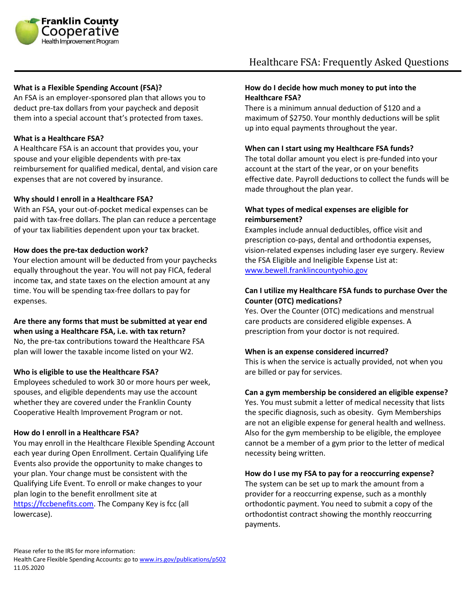

## **What is a Flexible Spending Account (FSA)?**

An FSA is an employer-sponsored plan that allows you to deduct pre-tax dollars from your paycheck and deposit them into a special account that's protected from taxes.

#### **What is a Healthcare FSA?**

A Healthcare FSA is an account that provides you, your spouse and your eligible dependents with pre-tax reimbursement for qualified medical, dental, and vision care expenses that are not covered by insurance.

# **Why should I enroll in a Healthcare FSA?**

With an FSA, your out-of-pocket medical expenses can be paid with tax-free dollars. The plan can reduce a percentage of your tax liabilities dependent upon your tax bracket.

#### **How does the pre-tax deduction work?**

Your election amount will be deducted from your paychecks equally throughout the year. You will not pay FICA, federal income tax, and state taxes on the election amount at any time. You will be spending tax-free dollars to pay for expenses.

# **Are there any forms that must be submitted at year end when using a Healthcare FSA, i.e. with tax return?**

No, the pre-tax contributions toward the Healthcare FSA plan will lower the taxable income listed on your W2.

#### **Who is eligible to use the Healthcare FSA?**

Employees scheduled to work 30 or more hours per week, spouses, and eligible dependents may use the account whether they are covered under the Franklin County Cooperative Health Improvement Program or not.

#### **How do I enroll in a Healthcare FSA?**

You may enroll in the Healthcare Flexible Spending Account each year during Open Enrollment. Certain Qualifying Life Events also provide the opportunity to make changes to your plan. Your change must be consistent with the Qualifying Life Event. To enroll or make changes to your plan login to the benefit enrollment site at [https://fccbenefits.com.](https://fccbenefits.com/) The Company Key is fcc (all lowercase).

# **How do I decide how much money to put into the Healthcare FSA?**

There is a minimum annual deduction of \$120 and a maximum of \$2750. Your monthly deductions will be split up into equal payments throughout the year.

# **When can I start using my Healthcare FSA funds?**

The total dollar amount you elect is pre-funded into your account at the start of the year, or on your benefits effective date. Payroll deductions to collect the funds will be made throughout the plan year.

# **What types of medical expenses are eligible for reimbursement?**

Examples include annual deductibles, office visit and prescription co-pays, dental and orthodontia expenses, vision-related expenses including laser eye surgery. Review the FSA Eligible and Ineligible Expense List at: [www.bewell.franklincountyohio.gov](http://www.bewell.franklincountyohio.gov/)

# **Can I utilize my Healthcare FSA funds to purchase Over the Counter (OTC) medications?**

Yes. Over the Counter (OTC) medications and menstrual care products are considered eligible expenses. A prescription from your doctor is not required.

#### **When is an expense considered incurred?**

This is when the service is actually provided, not when you are billed or pay for services.

#### **Can a gym membership be considered an eligible expense?**

Yes. You must submit a letter of medical necessity that lists the specific diagnosis, such as obesity. Gym Memberships are not an eligible expense for general health and wellness. Also for the gym membership to be eligible, the employee cannot be a member of a gym prior to the letter of medical necessity being written.

# **How do I use my FSA to pay for a reoccurring expense?**

The system can be set up to mark the amount from a provider for a reoccurring expense, such as a monthly orthodontic payment. You need to submit a copy of the orthodontist contract showing the monthly reoccurring payments.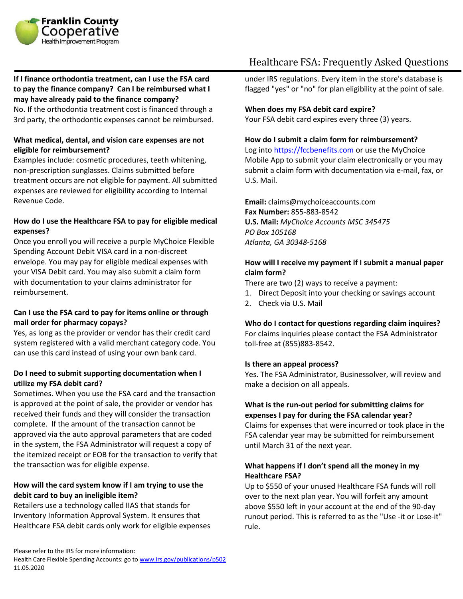

# **If I finance orthodontia treatment, can I use the FSA card to pay the finance company? Can I be reimbursed what I may have already paid to the finance company?**

No. If the orthodontia treatment cost is financed through a 3rd party, the orthodontic expenses cannot be reimbursed.

# **What medical, dental, and vision care expenses are not eligible for reimbursement?**

Examples include: cosmetic procedures, teeth whitening, non-prescription sunglasses. Claims submitted before treatment occurs are not eligible for payment. All submitted expenses are reviewed for eligibility according to Internal Revenue Code.

# **How do I use the Healthcare FSA to pay for eligible medical expenses?**

Once you enroll you will receive a purple MyChoice Flexible Spending Account Debit VISA card in a non-discreet envelope. You may pay for eligible medical expenses with your VISA Debit card. You may also submit a claim form with documentation to your claims administrator for reimbursement.

# **Can I use the FSA card to pay for items online or through mail order for pharmacy copays?**

Yes, as long as the provider or vendor has their credit card system registered with a valid merchant category code. You can use this card instead of using your own bank card.

# **Do I need to submit supporting documentation when I utilize my FSA debit card?**

Sometimes. When you use the FSA card and the transaction is approved at the point of sale, the provider or vendor has received their funds and they will consider the transaction complete. If the amount of the transaction cannot be approved via the auto approval parameters that are coded in the system, the FSA Administrator will request a copy of the itemized receipt or EOB for the transaction to verify that the transaction was for eligible expense.

# **How will the card system know if I am trying to use the debit card to buy an ineligible item?**

Retailers use a technology called IIAS that stands for Inventory Information Approval System. It ensures that Healthcare FSA debit cards only work for eligible expenses

## under IRS regulations. Every item in the store's database is flagged "yes" or "no" for plan eligibility at the point of sale.

# **When does my FSA debit card expire?**

Your FSA debit card expires every three (3) years.

# **How do I submit a claim form for reimbursement?**

Log into [https://fccbenefits.com](https://fccbenefits.com/) or use the MyChoice Mobile App to submit your claim electronically or you may submit a claim form with documentation via e-mail, fax, or U.S. Mail.

Healthcare FSA: Frequently Asked Questions

**Email:** claims@mychoiceaccounts.com **Fax Number:** 855-883-8542 **U.S. Mail:** *MyChoice Accounts MSC 345475 PO Box 105168 Atlanta, GA 30348-5168*

# **How will I receive my payment if I submit a manual paper claim form?**

There are two (2) ways to receive a payment:

- 1. Direct Deposit into your checking or savings account
- 2. Check via U.S. Mail

#### **Who do I contact for questions regarding claim inquires?**

For claims inquiries please contact the FSA Administrator toll-free at (855)883-8542.

#### **Is there an appeal process?**

Yes. The FSA Administrator, Businessolver, will review and make a decision on all appeals.

# **What is the run-out period for submitting claims for expenses I pay for during the FSA calendar year?**

Claims for expenses that were incurred or took place in the FSA calendar year may be submitted for reimbursement until March 31 of the next year.

# **What happens if I don't spend all the money in my Healthcare FSA?**

Up to \$550 of your unused Healthcare FSA funds will roll over to the next plan year. You will forfeit any amount above \$550 left in your account at the end of the 90-day runout period. This is referred to as the "Use -it or Lose-it" rule.